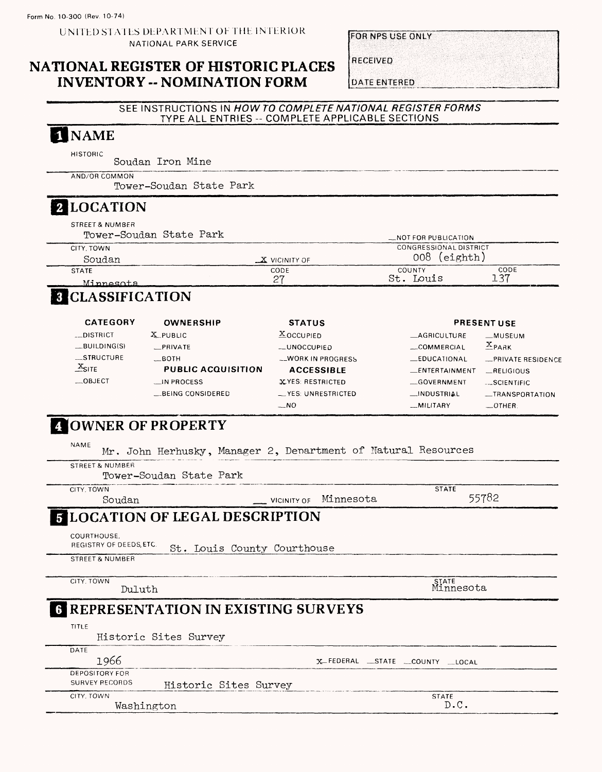UNITED STATLS DEPARTMENT OF THE INTERIOR NATIONAL PARK SERVICE

## **NATIONAL REGISTER OF HISTORIC PLACES INVENTORY -- NOMINATION FORM**

FOR NPS USE ONLY

**RECEIVED** 

**DATE ENTERED** 

## SEE INSTRUCTIONS IN HOW TO COMPLETE NATIONAL REGISTER FORMS TYPE ALL ENTRIES -- COMPLETE APPLICABLE SECTIONS

# NAME

HISTORIC Soudan Iron Mine

AND/OR COMMON

Tower-Soudan State Park

# **2 LOCATION**

STREET & NUMBER

| Tower-Soudan State Park |                 | <b>NOT FOR PUBLICATION</b>    |      |
|-------------------------|-----------------|-------------------------------|------|
| CITY, TOWN              |                 | <b>CONGRESSIONAL DISTRICT</b> |      |
| Soudan                  | $X$ VICINITY OF | 008 (eighth)                  |      |
| <b>STATE</b>            | CODE            | COUNTY                        | CODE |
| Minnesota               | - 27            | Touis                         | 137  |

# **8 CLASSIFICATION**

| <b>CATEGORY</b>   | OWNERSHIP                 | <b>STATUS</b>         | <b>PRESENT USE</b>    |                    |
|-------------------|---------------------------|-----------------------|-----------------------|--------------------|
| __DISTRICT        | $X$ PUBLIC                | $X$ OCCUPIED          | AGRICULTURE           | _MUSEUM            |
| $-MUDING(S)$      | <b>PRIVATE</b>            | <b>__UNOCCUPIED</b>   | COMMERCIAL            | $X_{\text{PAAK}}$  |
| STRUCTURE         | $\_$ BOTH                 | -WORK IN PROGRESS     | <b>EDUCATIONAL</b>    | -PRIVATE RESIDENCE |
| $X_{\text{SITE}}$ | <b>PUBLIC ACQUISITION</b> | <b>ACCESSIBLE</b>     | <b>LENTERTAINMENT</b> | RELIGIOUS          |
| $-$ OBJECT        | $\Box$ IN PROCESS         | XYES: RESTRICTED      | $\equiv$ GOVERNMENT   | $-SCIENTIFIC$      |
|                   | BEING CONSIDERED          | $-$ YES: UNRESTRICTED | <b>__INDUSTRIAL</b>   | _TRANSPORTATION    |
|                   |                           | $-NO$                 | -MILITARY             | $$ OTHER:          |

# **OWNER OF PROPERTY**

| NAME            |        | Mr. John Herhusky, Manager 2, Denartment of Natural Resources |  |                       |  |              |       |
|-----------------|--------|---------------------------------------------------------------|--|-----------------------|--|--------------|-------|
| STREET & NUMBER |        |                                                               |  |                       |  |              |       |
|                 |        | Tower-Soudan State Park                                       |  |                       |  |              |       |
| CITY TOWN       |        |                                                               |  |                       |  | <b>STATE</b> |       |
|                 | Soudan |                                                               |  | VICINITY OF Minnesota |  |              | 55782 |

#### **LOCATION OF LEGAL DESCRIPTION** 5

COURTHOUSE,

REGISTRY OF DEEDS, ETC. St. Louis County Courthouse

STREET & NUMBER

CITY. TOWN Duluth STATE Minnesota

# **3 REPRESENTATION IN EXISTING SURVEYS**

TITLE

Historic Sites Survey

| DATE           |                       |                              |
|----------------|-----------------------|------------------------------|
| 1966           |                       | X-FEDERAL STATE COUNTY LOCAL |
| DEPOSITORY FOR |                       |                              |
| SURVEY RECORDS | Historic Sites Survey |                              |
| CITY TOWN      |                       | <b>STATE</b>                 |
| Washington     |                       | D.C.                         |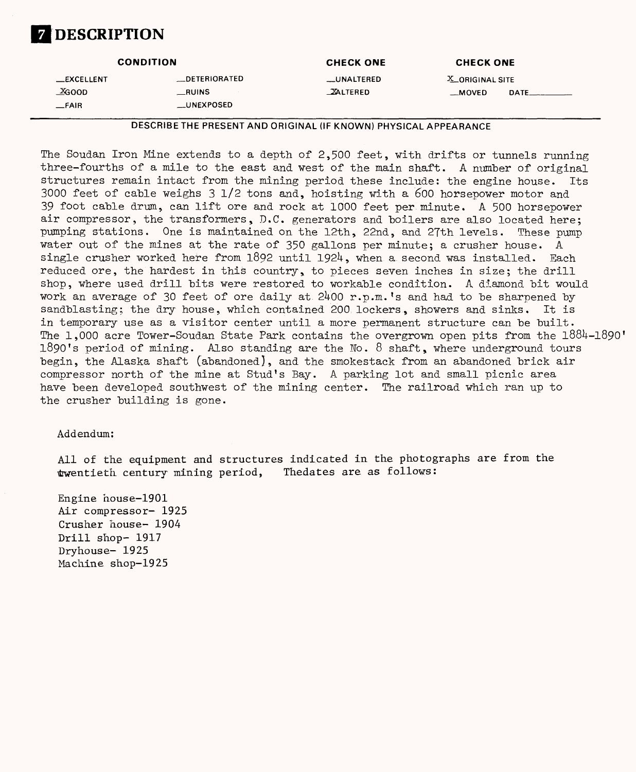# **Z** DESCRIPTION

|                | <b>CONDITION</b>    | <b>CHECK ONE</b>   | <b>CHECK ONE</b>       |
|----------------|---------------------|--------------------|------------------------|
| $\_$ EXCELLENT | <b>DETERIORATED</b> | <b>__UNALTERED</b> | <b>X_ORIGINAL SITE</b> |
| XGOOD          | __RUINS             | <b>XALTERED</b>    | DATE<br>__MOVED        |
| $\_$ FAIR      | __UNEXPOSED         |                    |                        |

DESCRIBE THE PRESENT AND ORIGINAL (IF KNOWN) PHYSICAL APPEARANCE

The Soudan Iron Mine extends to a depth of  $2,500$  feet, with drifts or tunnels running three-fourths of a mile to the east and west of the main shaft. A number of original structures remain intact from the mining period these include: the engine house. Its 3000 feet of cable weighs 3 1/2 tons and, hoisting with a 600 horsepower motor and 39 foot cable drum, can lift ore and rock at 1000 feet per minute. A 500 horsepower air compressor, the transformers, D.C. generators and boilers are also located here; pumping stations. One is maintained on the 12th, 22nd, and 27th levels. These pump water out of the mines at the rate of 350 gallons per minute; a crusher house. A single crusher worked here from  $1892$  until  $1924$ , when a second was installed. Each reduced ore, the hardest in this country, to pieces seven inches in size; the drill shop, where used drill bits were restored to workable condition. A diamond bit would work an average of 30 feet of ore daily at  $2400$  r.p.m.'s and had to be sharpened by sandblasting; the dry house, which contained 200 lockers, showers and sinks. It is in temporary use as a visitor center until a more permanent structure can be built. The  $1,000$  acre Tower-Soudan State Park contains the overgrown open pits from the  $1884-1890'$ 1890's period of mining. Also standing are the No. 8 shaft, where underground tours begin, the Alaska shaft [abandoned], and the smokestack from an abandoned brick air compressor north of the mine at Stud's Bay. A parking lot and small picnic area have been developed southwest of the mining center. The railroad which ran up to the crusher building is gone.

## Addendum:

All of the equipment and structures indicated in the photographs are from the twentieth century mining period. The dates are as follows: twentieth century mining period,

Engine house-1901 Air compressor- 1925 Crusher house- 1904 Drill shop- 1917 Dryhouse- 1925 Machine shop-1925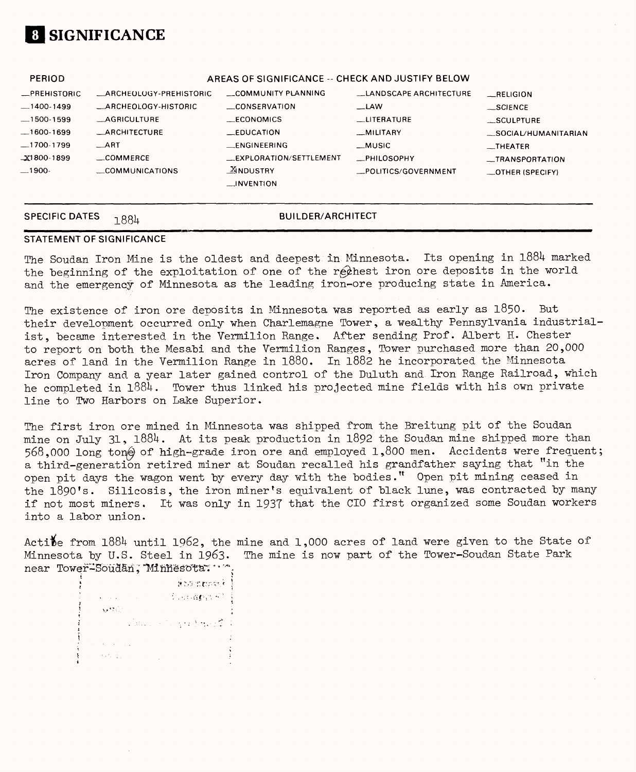

| <b>PERIOD</b>                                                                                                |                                                                                                                                                           | AREAS OF SIGNIFICANCE -- CHECK AND JUSTIFY BELOW                                                                                                    |                                                                                                                                 |                                                                                                                          |
|--------------------------------------------------------------------------------------------------------------|-----------------------------------------------------------------------------------------------------------------------------------------------------------|-----------------------------------------------------------------------------------------------------------------------------------------------------|---------------------------------------------------------------------------------------------------------------------------------|--------------------------------------------------------------------------------------------------------------------------|
| _PREHISTORIC<br>$-1400-1499$<br>$-1500-1599$<br>$-1600-1699$<br>$-1700-1799$<br>$\_X1800 - 1899$<br>$-1900-$ | <b>ARCHEOLOGY-PREHISTORIC</b><br><b>ARCHEOLOGY-HISTORIC</b><br><b>AGRICULTURE</b><br><b>ARCHITECTURE</b><br>$-ART$<br>$\equiv$ COMMERCE<br>COMMUNICATIONS | COMMUNITY PLANNING<br>$\equiv$ CONSERVATION<br>$\_E$ CONOMICS<br>$E$ DUCATION<br>$R$ ENGINEERING<br>EXPLORATION/SETTLEMENT<br>$\frac{X}{2}$ NDUSTRY | LANDSCAPE ARCHITECTURE<br>$\equiv$ LAW<br><b>LUTERATURE</b><br>_MILITARY<br>__MUSIC<br><b>PHILOSOPHY</b><br>POLITICS/GOVERNMENT | RELIGION<br>$\equiv$ SCIENCE<br>__SCULPTURE<br>_SOCIAL/HUMANITARIAN<br>__THEATER<br>__TRANSPORTATION<br>_OTHER (SPECIFY) |
|                                                                                                              |                                                                                                                                                           | $\Box$ INVENTION                                                                                                                                    |                                                                                                                                 |                                                                                                                          |

## **SPECIFIC DATES BUILDER/ARCHITECT**

### **STATEMENT OF SIGNIFICANCE**

The Soudan Iron Mine is the oldest and deepest in Minnesota. Its opening in 1884 marked the beginning of the exploitation of one of the rechest iron ore deposits in the world and the emergency of Minnesota as the leading iron-ore producing state in America.

The existence of iron ore deposits in Minnesota was reported as early as 1850. But their development occurred only when Charlemagne Tower, a wealthy Pennsylvania industrialist, became interested in the Vermilion Range. After sending Prof. Albert H. Chester to report on both the Mesabi and the Vermilion Ranges, Tower purchased more than 20,000 acres of land in the Vermilion Range in l880. In 1882 he incorporated the Minnesota Iron Company and a year later gained control of the Duluth and Iron Range Railroad, which he completed in 1884. Tower thus linked his projected mine fields with his own private line to Two Harbors on Lake Superior.

The first iron ore mined in Minnesota was shipped from the Breitung pit of the Soudan mine on July 31, 1884. At its peak production in 1892 the Soudan mine shipped more than 568,000 long ton@ of high-grade iron ore and employed 1,800 men. Accidents were frequent; a third-generation retired miner at Soudan recalled his grandfather saying that "in the open pit days the wagon went by every day with the bodies." Open pit mining ceased in the 1890's. Silicosis, the iron miner's equivalent of black lune, was contracted by many if not most miners. It was only in 1937 that the CIO first organized some Soudan workers into a labor union.

Active from  $1884$  until 1962, the mine and 1,000 acres of land were given to the State of Minnesota by U.S. Steel in 1963. The mine is now part of the Tower-Soudan State Park near Tower-Soudan, Minnesota. \*\*\*

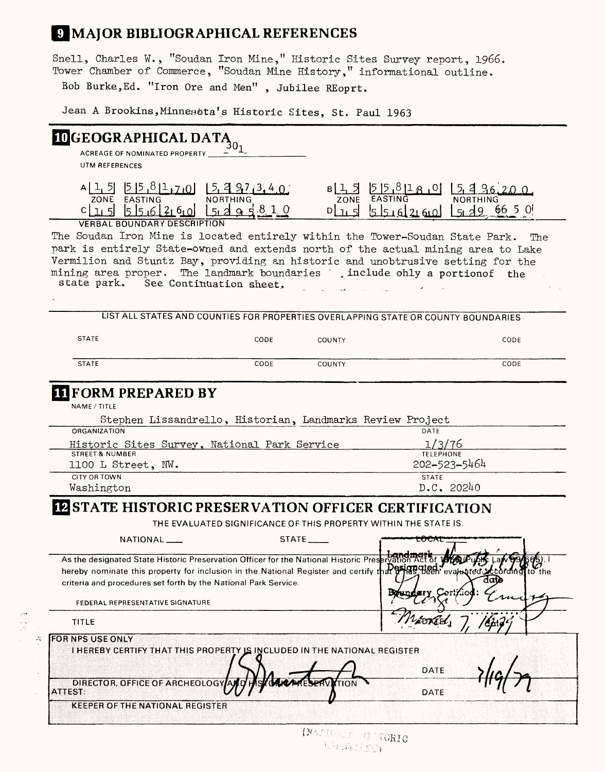# **J MAJOR BIBLIOGRAPHICAL REFERENCES**

Snell, Charles ¥., "Soudan Iron Mine," Historic Sites Survey report, 1966. Tower Chamber of Commerce, "Soudan Mine History," informational outline.

Bob Burke,Ed. "Iron Ore and Men" , Jubilee REoprt.

**Jean A Brookins, Minnesota's Historic Sites, St. Paul 1963**

| $\boxed{\textbf{10}}\textbf{GEOGRAPHICAL DATA}_{\textbf{0}_1}$                                                                                                       |                         |               |                                                                                    |                                       |
|----------------------------------------------------------------------------------------------------------------------------------------------------------------------|-------------------------|---------------|------------------------------------------------------------------------------------|---------------------------------------|
| ACREAGE OF NOMINATED PROPERTY                                                                                                                                        |                         |               |                                                                                    |                                       |
| UTM REFERENCES                                                                                                                                                       |                         |               |                                                                                    |                                       |
|                                                                                                                                                                      |                         |               |                                                                                    |                                       |
| $A\left[1, 5\right]$ $[5\left[5, 8\left[1, 7\right.0\right)]$ $[5, 4\left[9, 7\left[3, 4\right.0\right)]$<br>zone easting northing                                   |                         |               | $B[\frac{1}{2}5]$ $558180$                                                         | 5496200                               |
|                                                                                                                                                                      |                         |               | <b>NORTHING</b>                                                                    |                                       |
| $c_{1,1}$ $s_{1}$ $s_{1,2}$ $s_{1,3}$ $s_{1,4}$ $s_{1,5}$                                                                                                            |                         |               | plus stude and Lade.                                                               | 66 5 O                                |
| <b>VERBAL BOUNDARY DESCRIPTION</b>                                                                                                                                   |                         |               |                                                                                    |                                       |
| The Soudan Iron Mine is located entirely within the Tower-Soudan State Park.                                                                                         |                         |               |                                                                                    | The                                   |
| park is entirely State-owned and extends north of the actual mining area to Lake                                                                                     |                         |               |                                                                                    |                                       |
| Vermilion and Stuntz Bay, providing an historic and unobtrusive setting for the                                                                                      |                         |               |                                                                                    |                                       |
| mining area proper.<br>state park.                                                                                                                                   | See Continuation sheet, |               | The landmark boundaries [include only a portion of the                             |                                       |
|                                                                                                                                                                      |                         |               |                                                                                    |                                       |
|                                                                                                                                                                      |                         |               |                                                                                    |                                       |
|                                                                                                                                                                      |                         |               | LIST ALL STATES AND COUNTIES FOR PROPERTIES OVERLAPPING STATE OR COUNTY BOUNDARIES |                                       |
|                                                                                                                                                                      |                         |               |                                                                                    |                                       |
| <b>STATE</b>                                                                                                                                                         | CODE                    | COUNTY        |                                                                                    | CODE                                  |
|                                                                                                                                                                      |                         |               |                                                                                    |                                       |
| <b>STATE</b>                                                                                                                                                         | CODE                    | <b>COUNTY</b> |                                                                                    | CODE                                  |
|                                                                                                                                                                      |                         |               |                                                                                    |                                       |
| <b>IL FORM PREPARED BY</b>                                                                                                                                           |                         |               |                                                                                    |                                       |
| NAME / TITLE                                                                                                                                                         |                         |               |                                                                                    |                                       |
| Stephen Lissandrello, Historian, Landmarks Review Project                                                                                                            |                         |               |                                                                                    |                                       |
| ORGANIZATION                                                                                                                                                         |                         |               | DATE                                                                               |                                       |
| Historic Sites Survey, National Park Service                                                                                                                         |                         |               | 1/3/76                                                                             |                                       |
| <b>STREET &amp; NUMBER</b><br>1100 L Street, NW.                                                                                                                     |                         |               | <b>TELEPHONE</b><br>202-523-5464                                                   |                                       |
| <b>CITY OR TOWN</b>                                                                                                                                                  |                         |               | <b>STATE</b>                                                                       |                                       |
| Washington                                                                                                                                                           |                         |               | D.C. 20240                                                                         |                                       |
|                                                                                                                                                                      |                         |               |                                                                                    |                                       |
| <b>IZ STATE HISTORIC PRESERVATION OFFICER CERTIFICATION</b>                                                                                                          |                         |               |                                                                                    |                                       |
|                                                                                                                                                                      |                         |               | THE EVALUATED SIGNIFICANCE OF THIS PROPERTY WITHIN THE STATE IS:                   |                                       |
| NATIONAL ____                                                                                                                                                        |                         | STATE         | <b>COUAL</b>                                                                       |                                       |
|                                                                                                                                                                      |                         |               |                                                                                    |                                       |
| As the designated State Historic Preservation Officer for the National Historic Preservation                                                                         |                         |               |                                                                                    |                                       |
| hereby nominate this property for inclusion in the National Register and certify that prince been<br>criteria and procedures set forth by the National Park Service. |                         |               |                                                                                    | evaluated according<br>to the<br>dato |
|                                                                                                                                                                      |                         |               |                                                                                    |                                       |
| FEDERAL REPRESENTATIVE SIGNATURE                                                                                                                                     |                         |               |                                                                                    |                                       |
| TITLE                                                                                                                                                                |                         |               | Márkel,                                                                            |                                       |
|                                                                                                                                                                      |                         |               |                                                                                    |                                       |
| FOR NPS USE ONLY                                                                                                                                                     |                         |               |                                                                                    |                                       |
| I HEREBY CERTIFY THAT THIS PROPERTY IS INCLUDED IN THE NATIONAL REGISTER                                                                                             |                         |               |                                                                                    |                                       |
|                                                                                                                                                                      |                         |               | DATE                                                                               |                                       |
| DIRECTOR, OFFICE OF ARCHEOLOGY                                                                                                                                       |                         | TION          |                                                                                    |                                       |
| <b>ATTEST:</b>                                                                                                                                                       |                         |               | DATE                                                                               |                                       |
| <b>KEEPER OF THE NATIONAL REGISTER</b>                                                                                                                               |                         |               |                                                                                    |                                       |
|                                                                                                                                                                      |                         |               |                                                                                    |                                       |
|                                                                                                                                                                      |                         | Liva biyas    |                                                                                    |                                       |

(MAPROSET) FRESTORIC